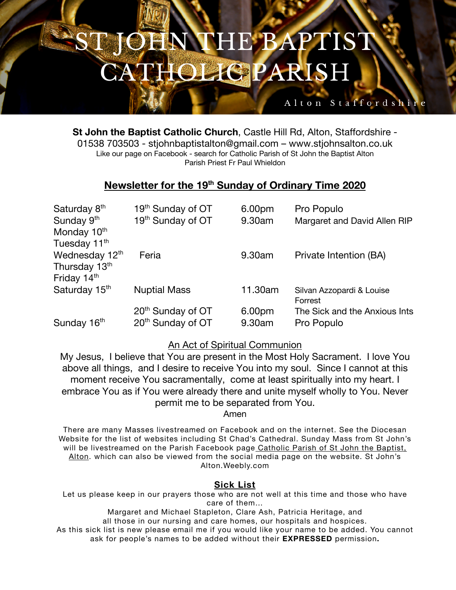## **NTHE BAPTIST** 第一章 **HOLIGPARISH**

#### **St John the Baptist Catholic Church**, Castle Hill Rd, Alton, Staffordshire - 01538 703503 - stjohnbaptistalton@gmail.com – www.stjohnsalton.co.uk Like our page on Facebook - search for Catholic Parish of St John the Baptist Alton Parish Priest Fr Paul Whieldon

Alton Staffordshi

### **Newsletter for the 19th Sunday of Ordinary Time 2020**

| Saturday 8 <sup>th</sup>  | 19 <sup>th</sup> Sunday of OT | 6.00pm  | Pro Populo                    |
|---------------------------|-------------------------------|---------|-------------------------------|
| Sunday 9th                | 19th Sunday of OT             | 9.30am  | Margaret and David Allen RIP  |
| Monday 10 <sup>th</sup>   |                               |         |                               |
| Tuesday 11 <sup>th</sup>  |                               |         |                               |
| Wednesday 12th            | Feria                         | 9.30am  | Private Intention (BA)        |
| Thursday 13th             |                               |         |                               |
| Friday 14th               |                               |         |                               |
| Saturday 15 <sup>th</sup> | <b>Nuptial Mass</b>           | 11.30am | Silvan Azzopardi & Louise     |
|                           |                               |         | Forrest                       |
|                           | 20 <sup>th</sup> Sunday of OT | 6.00pm  | The Sick and the Anxious Ints |
| Sunday 16th               | 20 <sup>th</sup> Sunday of OT | 9.30am  | Pro Populo                    |

#### An Act of Spiritual Communion

My Jesus, I believe that You are present in the Most Holy Sacrament. I love You above all things, and I desire to receive You into my soul. Since I cannot at this moment receive You sacramentally, come at least spiritually into my heart. I embrace You as if You were already there and unite myself wholly to You. Never permit me to be separated from You.

Amen

There are many Masses livestreamed on Facebook and on the internet. See the Diocesan Website for the list of websites including St Chad's Cathedral. Sunday Mass from St John's will be livestreamed on the Parish Facebook page Catholic Parish of St John the Baptist, Alton. which can also be viewed from the social media page on the website. St John's Alton.Weebly.com

#### **Sick List**

Let us please keep in our prayers those who are not well at this time and those who have care of them…

Margaret and Michael Stapleton, Clare Ash, Patricia Heritage, and all those in our nursing and care homes, our hospitals and hospices. As this sick list is new please email me if you would like your name to be added. You cannot ask for people's names to be added without their **EXPRESSED** permission**.**